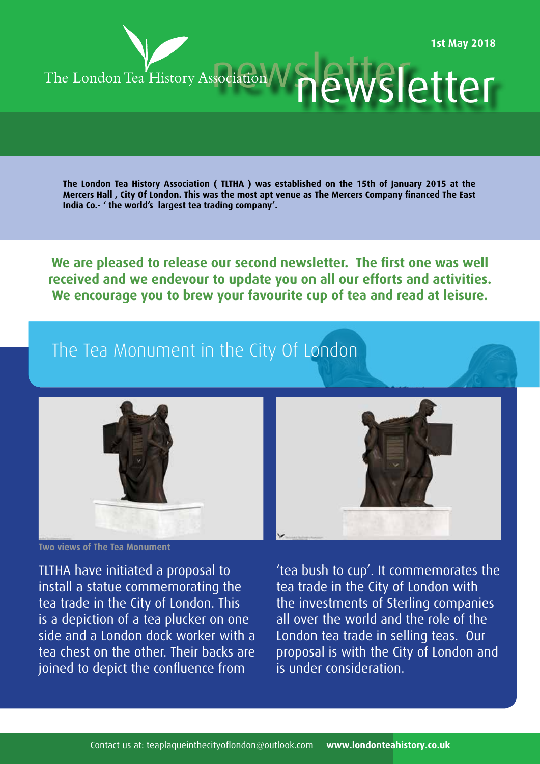

**The London Tea History Association ( TLTHA ) was established on the 15th of January 2015 at the Mercers Hall , City Of London. This was the most apt venue as The Mercers Company financed The East India Co.- ' the world's largest tea trading company'.**

**We are pleased to release our second newsletter. The first one was well received and we endevour to update you on all our efforts and activities. We encourage you to brew your favourite cup of tea and read at leisure.** 

# The Tea Monument in the City Of London



**Two views of The Tea Monument**

TLTHA have initiated a proposal to install a statue commemorating the tea trade in the City of London. This is a depiction of a tea plucker on one side and a London dock worker with a tea chest on the other. Their backs are joined to depict the confluence from



'tea bush to cup'. It commemorates the tea trade in the City of London with the investments of Sterling companies all over the world and the role of the London tea trade in selling teas. Our proposal is with the City of London and is under consideration.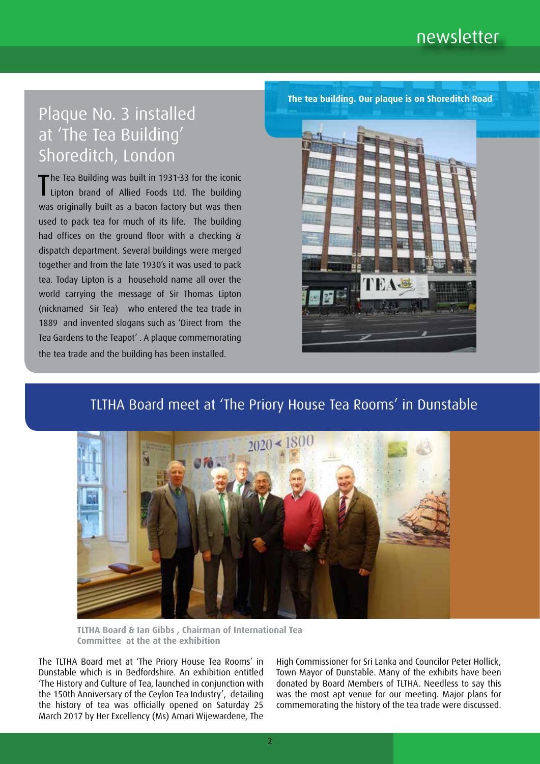# Plaque No. 3 installed at 'The Tea Building' Shoreditch, London

The Tea Building was built in 1931-33 for the iconic<br>Lipton brand of Allied Foods Ltd. The building Lipton brand of Allied Foods Ltd. The building was originally built as a bacon factory but was then used to pack tea for much of its life. The building had offices on the ground floor with a checking & dispatch department. Several buildings were merged together and from the late 1930's it was used to pack tea. Today Lipton is a household name all over the world carrying the message of Sir Thomas Lipton (nicknamed Sir Tea) who entered the tea trade in 1889 and invented slogans such as 'Direct from the Tea Gardens to the Teapot' . A plaque commemorating the tea trade and the building has been installed.

**The tea building. Our plaque is on Shoreditch Road**



### TLTHA Board meet at 'The Priory House Tea Rooms' in Dunstable



**TLTHA Board & Ian Gibbs , Chairman of International Tea Committee at the at the exhibition** 

The TLTHA Board met at 'The Priory House Tea Rooms' in Dunstable which is in Bedfordshire. An exhibition entitled 'The History and Culture of Tea, launched in conjunction with the 150th Anniversary of the Ceylon Tea Industry', detailing the history of tea was officially opened on Saturday 25 March 2017 by Her Excellency (Ms) Amari Wijewardene, The

High Commissioner for Sri Lanka and Councilor Peter Hollick, Town Mayor of Dunstable. Many of the exhibits have been donated by Board Members of TLTHA. Needless to say this was the most apt venue for our meeting. Major plans for commemorating the history of the tea trade were discussed.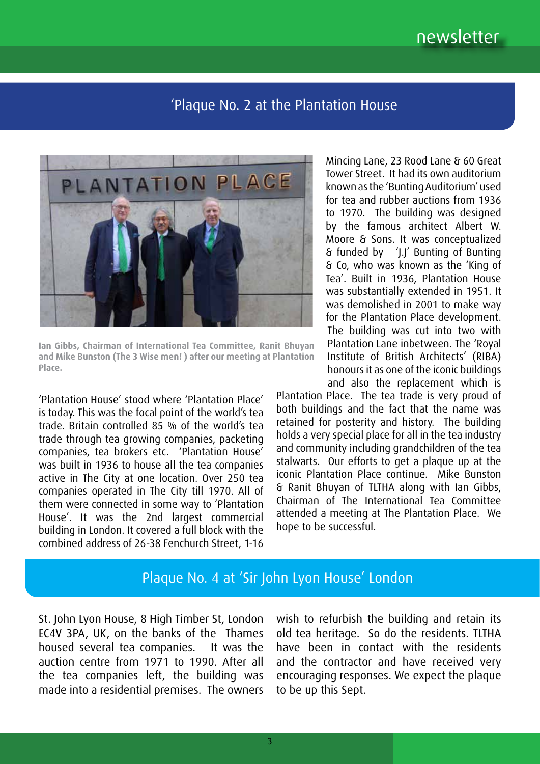# newsletter

#### 'Plaque No. 2 at the Plantation House



**Ian Gibbs, Chairman of International Tea Committee, Ranit Bhuyan and Mike Bunston (The 3 Wise men! ) after our meeting at Plantation Place.**

'Plantation House' stood where 'Plantation Place' is today. This was the focal point of the world's tea trade. Britain controlled 85 % of the world's tea trade through tea growing companies, packeting companies, tea brokers etc. 'Plantation House' was built in 1936 to house all the tea companies active in The City at one location. Over 250 tea companies operated in The City till 1970. All of them were connected in some way to 'Plantation House'. It was the 2nd largest commercial building in London. It covered a full block with the combined address of 26-38 Fenchurch Street, 1-16

Mincing Lane, 23 Rood Lane & 60 Great Tower Street. It had its own auditorium known as the 'Bunting Auditorium' used for tea and rubber auctions from 1936 to 1970. The building was designed by the famous architect Albert W. Moore & Sons. It was conceptualized & funded by 'J.J' Bunting of Bunting & Co, who was known as the 'King of Tea'. Built in 1936, Plantation House was substantially extended in 1951. It was demolished in 2001 to make way for the Plantation Place development. The building was cut into two with Plantation Lane inbetween. The 'Royal Institute of British Architects' (RIBA) honours it as one of the iconic buildings and also the replacement which is

Plantation Place. The tea trade is very proud of both buildings and the fact that the name was retained for posterity and history. The building holds a very special place for all in the tea industry and community including grandchildren of the tea stalwarts. Our efforts to get a plaque up at the iconic Plantation Place continue. Mike Bunston & Ranit Bhuyan of TLTHA along with Ian Gibbs, Chairman of The International Tea Committee attended a meeting at The Plantation Place. We hope to be successful.

## Plaque No. 4 at 'Sir John Lyon House' London

St. John Lyon House, 8 High Timber St, London EC4V 3PA, UK, on the banks of the Thames housed several tea companies. It was the auction centre from 1971 to 1990. After all the tea companies left, the building was made into a residential premises. The owners

wish to refurbish the building and retain its old tea heritage. So do the residents. TLTHA have been in contact with the residents and the contractor and have received very encouraging responses. We expect the plaque to be up this Sept.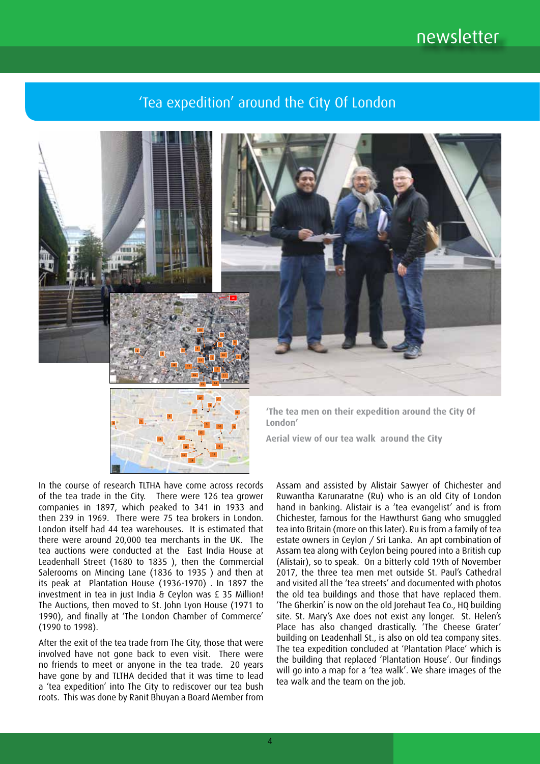# newsletter

## 'Tea expedition' around the City Of London



In the course of research TLTHA have come across records of the tea trade in the City. There were 126 tea grower companies in 1897, which peaked to 341 in 1933 and then 239 in 1969. There were 75 tea brokers in London. London itself had 44 tea warehouses. It is estimated that there were around 20,000 tea merchants in the UK. The tea auctions were conducted at the East India House at Leadenhall Street (1680 to 1835 ), then the Commercial Salerooms on Mincing Lane (1836 to 1935 ) and then at its peak at Plantation House (1936-1970) . In 1897 the investment in tea in just India & Ceylon was £ 35 Million! The Auctions, then moved to St. John Lyon House (1971 to 1990), and finally at 'The London Chamber of Commerce' (1990 to 1998).

After the exit of the tea trade from The City, those that were involved have not gone back to even visit. There were no friends to meet or anyone in the tea trade. 20 years have gone by and TLTHA decided that it was time to lead a 'tea expedition' into The City to rediscover our tea bush roots. This was done by Ranit Bhuyan a Board Member from

Assam and assisted by Alistair Sawyer of Chichester and Ruwantha Karunaratne (Ru) who is an old City of London hand in banking. Alistair is a 'tea evangelist' and is from Chichester, famous for the Hawthurst Gang who smuggled tea into Britain (more on this later). Ru is from a family of tea estate owners in Ceylon / Sri Lanka. An apt combination of Assam tea along with Ceylon being poured into a British cup (Alistair), so to speak. On a bitterly cold 19th of November 2017, the three tea men met outside St. Paul's Cathedral and visited all the 'tea streets' and documented with photos the old tea buildings and those that have replaced them. 'The Gherkin' is now on the old Jorehaut Tea Co., HQ building site. St. Mary's Axe does not exist any longer. St. Helen's Place has also changed drastically. 'The Cheese Grater' building on Leadenhall St., is also on old tea company sites. The tea expedition concluded at 'Plantation Place' which is the building that replaced 'Plantation House'. Our findings will go into a map for a 'tea walk'. We share images of the tea walk and the team on the job.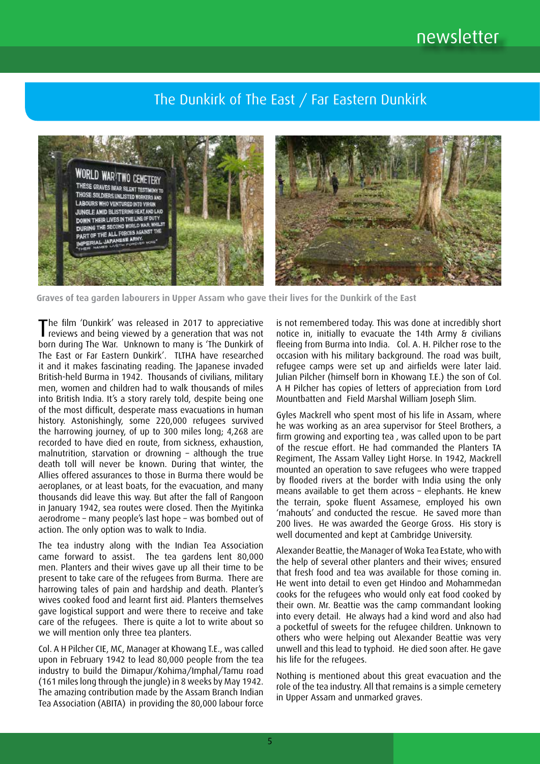# The Dunkirk of The East / Far Eastern Dunkirk



 **Graves of tea garden labourers in Upper Assam who gave their lives for the Dunkirk of the East**

The film 'Dunkirk' was released in 2017 to appreciative<br>reviews and being viewed by a generation that was not reviews and being viewed by a generation that was not born during The War. Unknown to many is 'The Dunkirk of The East or Far Eastern Dunkirk'. TLTHA have researched it and it makes fascinating reading. The Japanese invaded British-held Burma in 1942. Thousands of civilians, military men, women and children had to walk thousands of miles into British India. It's a story rarely told, despite being one of the most difficult, desperate mass evacuations in human history. Astonishingly, some 220,000 refugees survived the harrowing journey, of up to 300 miles long; 4,268 are recorded to have died en route, from sickness, exhaustion, malnutrition, starvation or drowning – although the true death toll will never be known. During that winter, the Allies offered assurances to those in Burma there would be aeroplanes, or at least boats, for the evacuation, and many thousands did leave this way. But after the fall of Rangoon in January 1942, sea routes were closed. Then the Myitinka aerodrome – many people's last hope – was bombed out of action. The only option was to walk to India.

The tea industry along with the Indian Tea Association came forward to assist. The tea gardens lent 80,000 men. Planters and their wives gave up all their time to be present to take care of the refugees from Burma. There are harrowing tales of pain and hardship and death. Planter's wives cooked food and learnt first aid. Planters themselves gave logistical support and were there to receive and take care of the refugees. There is quite a lot to write about so we will mention only three tea planters.

Col. A H Pilcher CIE, MC, Manager at Khowang T.E., was called upon in February 1942 to lead 80,000 people from the tea industry to build the Dimapur/Kohima/Imphal/Tamu road (161 miles long through the jungle) in 8 weeks by May 1942. The amazing contribution made by the Assam Branch Indian Tea Association (ABITA) in providing the 80,000 labour force is not remembered today. This was done at incredibly short notice in, initially to evacuate the 14th Army & civilians fleeing from Burma into India. Col. A. H. Pilcher rose to the occasion with his military background. The road was built, refugee camps were set up and airfields were later laid. Julian Pilcher (himself born in Khowang T.E.) the son of Col. A H Pilcher has copies of letters of appreciation from Lord Mountbatten and Field Marshal William Joseph Slim.

Gyles Mackrell who spent most of his life in Assam, where he was working as an area supervisor for Steel Brothers, a firm growing and exporting tea , was called upon to be part of the rescue effort. He had commanded the Planters TA Regiment, The Assam Valley Light Horse. In 1942, Mackrell mounted an operation to save refugees who were trapped by flooded rivers at the border with India using the only means available to get them across – elephants. He knew the terrain, spoke fluent Assamese, employed his own 'mahouts' and conducted the rescue. He saved more than 200 lives. He was awarded the George Gross. His story is well documented and kept at Cambridge University.

Alexander Beattie, the Manager of Woka Tea Estate, who with the help of several other planters and their wives; ensured that fresh food and tea was available for those coming in. He went into detail to even get Hindoo and Mohammedan cooks for the refugees who would only eat food cooked by their own. Mr. Beattie was the camp commandant looking into every detail. He always had a kind word and also had a pocketful of sweets for the refugee children. Unknown to others who were helping out Alexander Beattie was very unwell and this lead to typhoid. He died soon after. He gave his life for the refugees.

Nothing is mentioned about this great evacuation and the role of the tea industry. All that remains is a simple cemetery in Upper Assam and unmarked graves.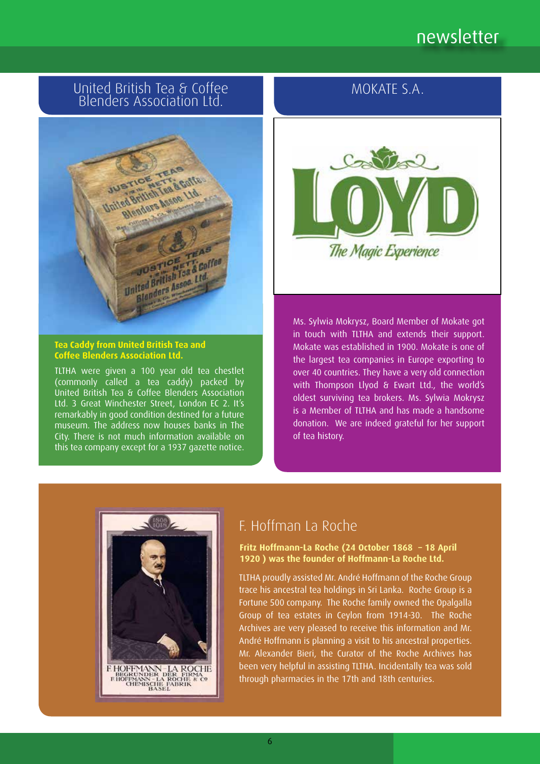# newsletter

#### United British Tea & Coffee Blenders Association Ltd.



**Tea Caddy from United British Tea and Coffee Blenders Association Ltd.**

TLTHA were given a 100 year old tea chestlet (commonly called a tea caddy) packed by United British Tea & Coffee Blenders Association Ltd. 3 Great Winchester Street, London EC 2. It's remarkably in good condition destined for a future museum. The address now houses banks in The City. There is not much information available on this tea company except for a 1937 gazette notice.

## MOKATE S.A.



Ms. Sylwia Mokrysz, Board Member of Mokate got in touch with TLTHA and extends their support. Mokate was established in 1900. Mokate is one of the largest tea companies in Europe exporting to over 40 countries. They have a very old connection with Thompson Llyod & Ewart Ltd., the world's oldest surviving tea brokers. Ms. Sylwia Mokrysz is a Member of TLTHA and has made a handsome donation. We are indeed grateful for her support of tea history.



# F. Hoffman La Roche

**Fritz Hoffmann-La Roche (24 October 1868 – 18 April 1920 ) was the founder of Hoffmann-La Roche Ltd.**

TLTHA proudly assisted Mr. André Hoffmann of the Roche Group trace his ancestral tea holdings in Sri Lanka. Roche Group is a Fortune 500 company. The Roche family owned the Opalgalla Group of tea estates in Ceylon from 1914-30. The Roche Archives are very pleased to receive this information and Mr. André Hoffmann is planning a visit to his ancestral properties. Mr. Alexander Bieri, the Curator of the Roche Archives has been very helpful in assisting TLTHA. Incidentally tea was sold through pharmacies in the 17th and 18th centuries.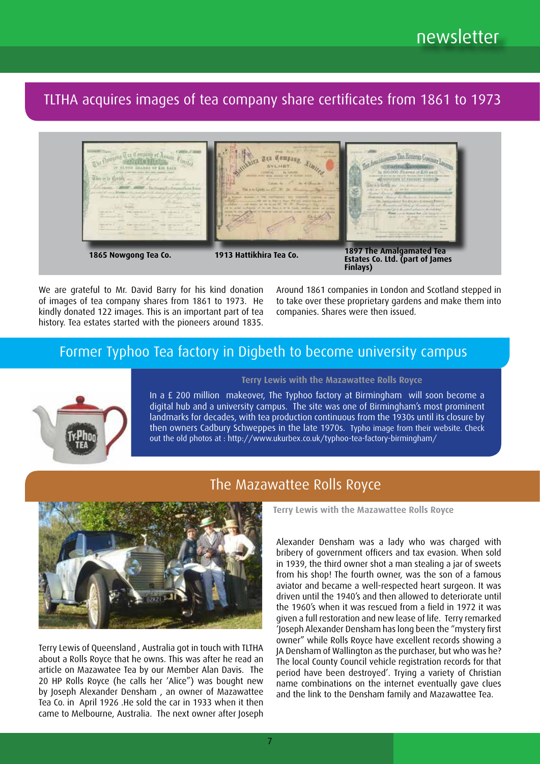TLTHA acquires images of tea company share certificates from 1861 to 1973



We are grateful to Mr. David Barry for his kind donation of images of tea company shares from 1861 to 1973. He kindly donated 122 images. This is an important part of tea history. Tea estates started with the pioneers around 1835. Around 1861 companies in London and Scotland stepped in to take over these proprietary gardens and make them into companies. Shares were then issued.

### Former Typhoo Tea factory in Digbeth to become university campus



In a £ 200 million makeover, The Typhoo factory at Birmingham will soon become a digital hub and a university campus. The site was one of Birmingham's most prominent landmarks for decades, with tea production continuous from the 1930s until its closure by then owners Cadbury Schweppes in the late 1970s. Typho image from their website. Check out the old photos at : http://www.ukurbex.co.uk/typhoo-tea-factory-birmingham/

**Terry Lewis with the Mazawattee Rolls Royce**

## The Mazawattee Rolls Royce



Terry Lewis of Queensland , Australia got in touch with TLTHA about a Rolls Royce that he owns. This was after he read an article on Mazawatee Tea by our Member Alan Davis. The 20 HP Rolls Royce (he calls her 'Alice") was bought new by Joseph Alexander Densham , an owner of Mazawattee Tea Co. in April 1926 .He sold the car in 1933 when it then came to Melbourne, Australia. The next owner after Joseph **Terry Lewis with the Mazawattee Rolls Royce**

Alexander Densham was a lady who was charged with bribery of government officers and tax evasion. When sold in 1939, the third owner shot a man stealing a jar of sweets from his shop! The fourth owner, was the son of a famous aviator and became a well-respected heart surgeon. It was driven until the 1940's and then allowed to deteriorate until the 1960's when it was rescued from a field in 1972 it was given a full restoration and new lease of life. Terry remarked 'Joseph Alexander Densham has long been the "mystery first owner" while Rolls Royce have excellent records showing a JA Densham of Wallington as the purchaser, but who was he? The local County Council vehicle registration records for that period have been destroyed'. Trying a variety of Christian name combinations on the internet eventually gave clues and the link to the Densham family and Mazawattee Tea.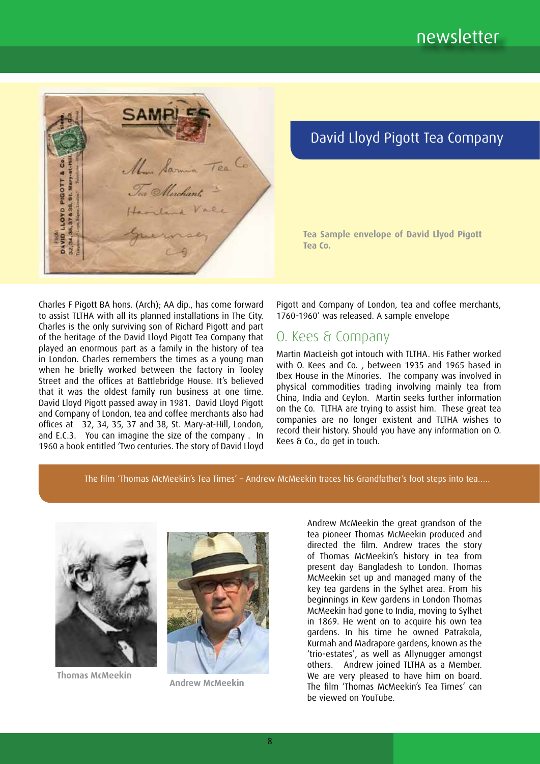

# David Lloyd Pigott Tea Company

**Tea Sample envelope of David Llyod Pigott Tea Co.**

Charles F Pigott BA hons. (Arch); AA dip., has come forward to assist TLTHA with all its planned installations in The City. Charles is the only surviving son of Richard Pigott and part of the heritage of the David Lloyd Pigott Tea Company that played an enormous part as a family in the history of tea in London. Charles remembers the times as a young man when he briefly worked between the factory in Tooley Street and the offices at Battlebridge House. It's believed that it was the oldest family run business at one time. David Lloyd Pigott passed away in 1981. David Lloyd Pigott and Company of London, tea and coffee merchants also had offices at 32, 34, 35, 37 and 38, St. Mary-at-Hill, London, and E.C.3. You can imagine the size of the company . In and Eleist Troo can imagine the size of the company time.<br>1960 a book entitled 'Two centuries. The story of David Lloyd Pigott and Company of London, tea and coffee merchants, 1760-1960' was released. A sample envelope

### O. Kees & Company

Martin MacLeish got intouch with TLTHA. His Father worked with O. Kees and Co. , between 1935 and 1965 based in Ibex House in the Minories. The company was involved in physical commodities trading involving mainly tea from China, India and Ceylon. Martin seeks further information on the Co. TLTHA are trying to assist him. These great tea companies are no longer existent and TLTHA wishes to record their history. Should you have any information on O. Kees & Co., do get in touch.

.....The film 'Thomas McMeekin's Tea Times' – Andrew McMeekin traces his Grandfather's foot steps into tea....



Stirring to the stirring of the stirring of the state of the state of the state of the state of the state of the state of the state of the state of the state of the state of the state of the state of the state of the state

Thomas McMeekin. Thomas McMeekin **Andrew McMeekin** 



Andrew McMeekin.

Andrew McMeekin the great grandson of the tea pioneer Thomas McMeekin produced and directed the film. Andrew traces the story of Thomas McMeekin's history in tea from present day Bangladesh to London. Thomas present asy bangiaacsin to conson: momes<br>McMeekin set up and managed many of the key tea gardens in the Sylhet area. From his beginnings in Kew gardens in London Thomas McMeekin had gone to India, moving to Sylhet in 1869. He went on to acquire his own tea gardens. In his time he owned Patrakola, Kurmah and Madrapore gardens, known as the 'trio-estates', as well as Allynugger amongst others. Andrew joined TLTHA as a Member. We are very pleased to have him on board. The film 'Thomas McMeekin's Tea Times' can be viewed on YouTube. of filming muneekiit set up anu managed and choics, as well as n person and a photographer is not

Heritage Trust Menu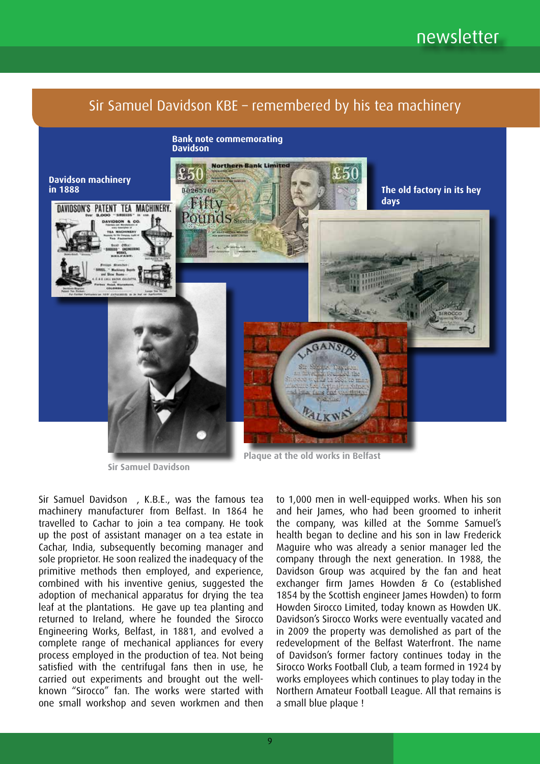

**Sir Samuel Davidson**

Sir Samuel Davidson , K.B.E., was the famous tea machinery manufacturer from Belfast. In 1864 he travelled to Cachar to join a tea company. He took up the post of assistant manager on a tea estate in Cachar, India, subsequently becoming manager and sole proprietor. He soon realized the inadequacy of the primitive methods then employed, and experience, combined with his inventive genius, suggested the adoption of mechanical apparatus for drying the tea leaf at the plantations. He gave up tea planting and returned to Ireland, where he founded the Sirocco Engineering Works, Belfast, in 1881, and evolved a complete range of mechanical appliances for every process employed in the production of tea. Not being satisfied with the centrifugal fans then in use, he carried out experiments and brought out the wellknown "Sirocco" fan. The works were started with one small workshop and seven workmen and then

to 1,000 men in well-equipped works. When his son and heir James, who had been groomed to inherit the company, was killed at the Somme Samuel's health began to decline and his son in law Frederick Maguire who was already a senior manager led the company through the next generation. In 1988, the Davidson Group was acquired by the fan and heat exchanger firm James Howden & Co (established 1854 by the Scottish engineer James Howden) to form Howden Sirocco Limited, today known as Howden UK. Davidson's Sirocco Works were eventually vacated and in 2009 the property was demolished as part of the redevelopment of the Belfast Waterfront. The name of Davidson's former factory continues today in the Sirocco Works Football Club, a team formed in 1924 by works employees which continues to play today in the Northern Amateur Football League. All that remains is a small blue plaque !